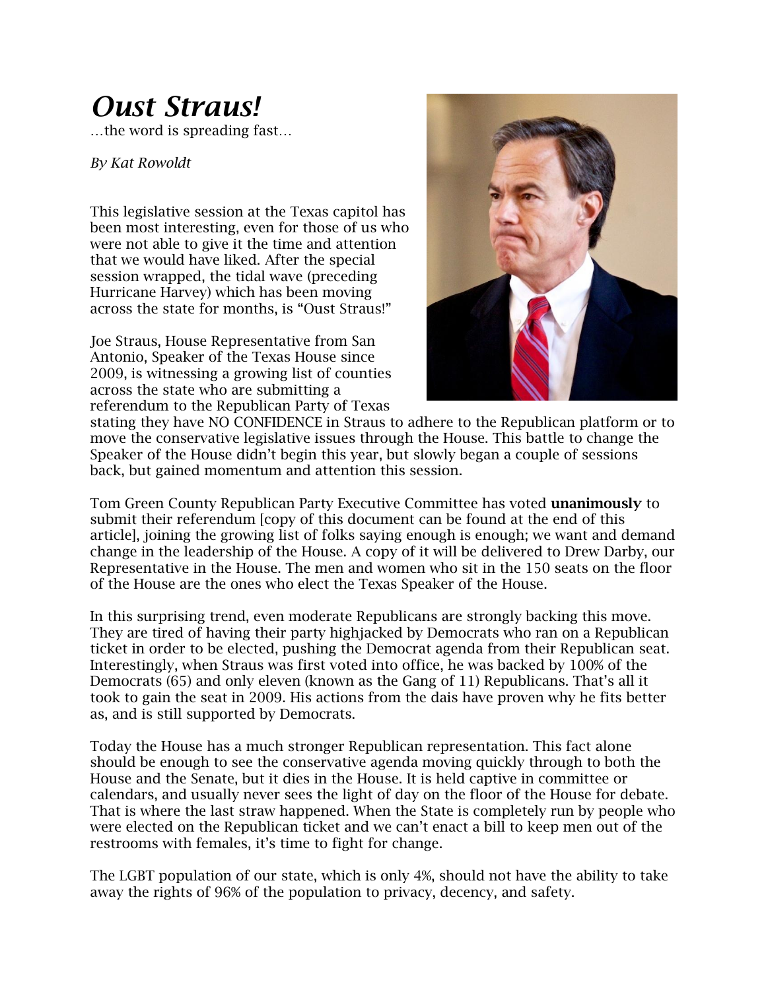## *Oust Straus!*

…the word is spreading fast…

*By Kat Rowoldt*

This legislative session at the Texas capitol has been most interesting, even for those of us who were not able to give it the time and attention that we would have liked. After the special session wrapped, the tidal wave (preceding Hurricane Harvey) which has been moving across the state for months, is "Oust Straus!"

Joe Straus, House Representative from San Antonio, Speaker of the Texas House since 2009, is witnessing a growing list of counties across the state who are submitting a referendum to the Republican Party of Texas



stating they have NO CONFIDENCE in Straus to adhere to the Republican platform or to move the conservative legislative issues through the House. This battle to change the Speaker of the House didn't begin this year, but slowly began a couple of sessions back, but gained momentum and attention this session.

Tom Green County Republican Party Executive Committee has voted **unanimously** to submit their referendum [copy of this document can be found at the end of this article], joining the growing list of folks saying enough is enough; we want and demand change in the leadership of the House. A copy of it will be delivered to Drew Darby, our Representative in the House. The men and women who sit in the 150 seats on the floor of the House are the ones who elect the Texas Speaker of the House.

In this surprising trend, even moderate Republicans are strongly backing this move. They are tired of having their party highjacked by Democrats who ran on a Republican ticket in order to be elected, pushing the Democrat agenda from their Republican seat. Interestingly, when Straus was first voted into office, he was backed by 100% of the Democrats (65) and only eleven (known as the Gang of 11) Republicans. That's all it took to gain the seat in 2009. His actions from the dais have proven why he fits better as, and is still supported by Democrats.

Today the House has a much stronger Republican representation. This fact alone should be enough to see the conservative agenda moving quickly through to both the House and the Senate, but it dies in the House. It is held captive in committee or calendars, and usually never sees the light of day on the floor of the House for debate. That is where the last straw happened. When the State is completely run by people who were elected on the Republican ticket and we can't enact a bill to keep men out of the restrooms with females, it's time to fight for change.

The LGBT population of our state, which is only 4%, should not have the ability to take away the rights of 96% of the population to privacy, decency, and safety.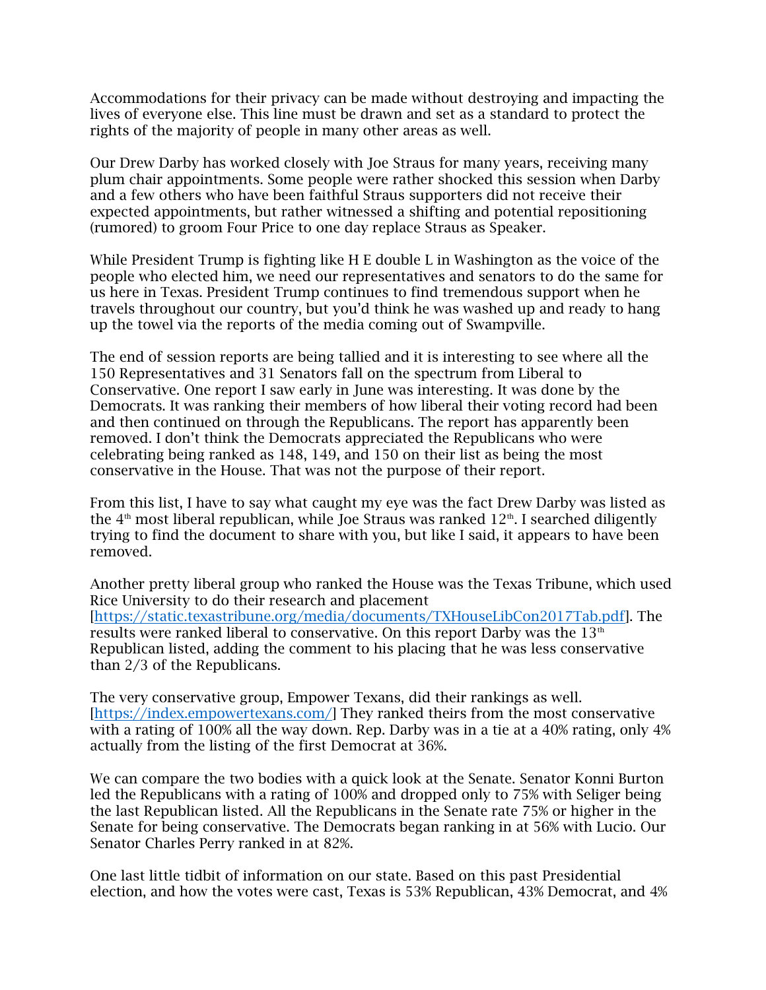Accommodations for their privacy can be made without destroying and impacting the lives of everyone else. This line must be drawn and set as a standard to protect the rights of the majority of people in many other areas as well.

Our Drew Darby has worked closely with Joe Straus for many years, receiving many plum chair appointments. Some people were rather shocked this session when Darby and a few others who have been faithful Straus supporters did not receive their expected appointments, but rather witnessed a shifting and potential repositioning (rumored) to groom Four Price to one day replace Straus as Speaker.

While President Trump is fighting like H E double L in Washington as the voice of the people who elected him, we need our representatives and senators to do the same for us here in Texas. President Trump continues to find tremendous support when he travels throughout our country, but you'd think he was washed up and ready to hang up the towel via the reports of the media coming out of Swampville.

The end of session reports are being tallied and it is interesting to see where all the 150 Representatives and 31 Senators fall on the spectrum from Liberal to Conservative. One report I saw early in June was interesting. It was done by the Democrats. It was ranking their members of how liberal their voting record had been and then continued on through the Republicans. The report has apparently been removed. I don't think the Democrats appreciated the Republicans who were celebrating being ranked as 148, 149, and 150 on their list as being the most conservative in the House. That was not the purpose of their report.

From this list, I have to say what caught my eye was the fact Drew Darby was listed as the  $4<sup>th</sup>$  most liberal republican, while Joe Straus was ranked  $12<sup>th</sup>$ . I searched diligently trying to find the document to share with you, but like I said, it appears to have been removed.

Another pretty liberal group who ranked the House was the Texas Tribune, which used Rice University to do their research and placement [\[https://static.texastribune.org/media/documents/TXHouseLibCon2017Tab.pdf\]](https://static.texastribune.org/media/documents/TXHouseLibCon2017Tab.pdf). The results were ranked liberal to conservative. On this report Darby was the  $13<sup>th</sup>$ Republican listed, adding the comment to his placing that he was less conservative than 2/3 of the Republicans.

The very conservative group, Empower Texans, did their rankings as well. [\[https://index.empowertexans.com/\]](https://index.empowertexans.com/) They ranked theirs from the most conservative with a rating of 100% all the way down. Rep. Darby was in a tie at a 40% rating, only 4% actually from the listing of the first Democrat at 36%.

We can compare the two bodies with a quick look at the Senate. Senator Konni Burton led the Republicans with a rating of 100% and dropped only to 75% with Seliger being the last Republican listed. All the Republicans in the Senate rate 75% or higher in the Senate for being conservative. The Democrats began ranking in at 56% with Lucio. Our Senator Charles Perry ranked in at 82%.

One last little tidbit of information on our state. Based on this past Presidential election, and how the votes were cast, Texas is 53% Republican, 43% Democrat, and 4%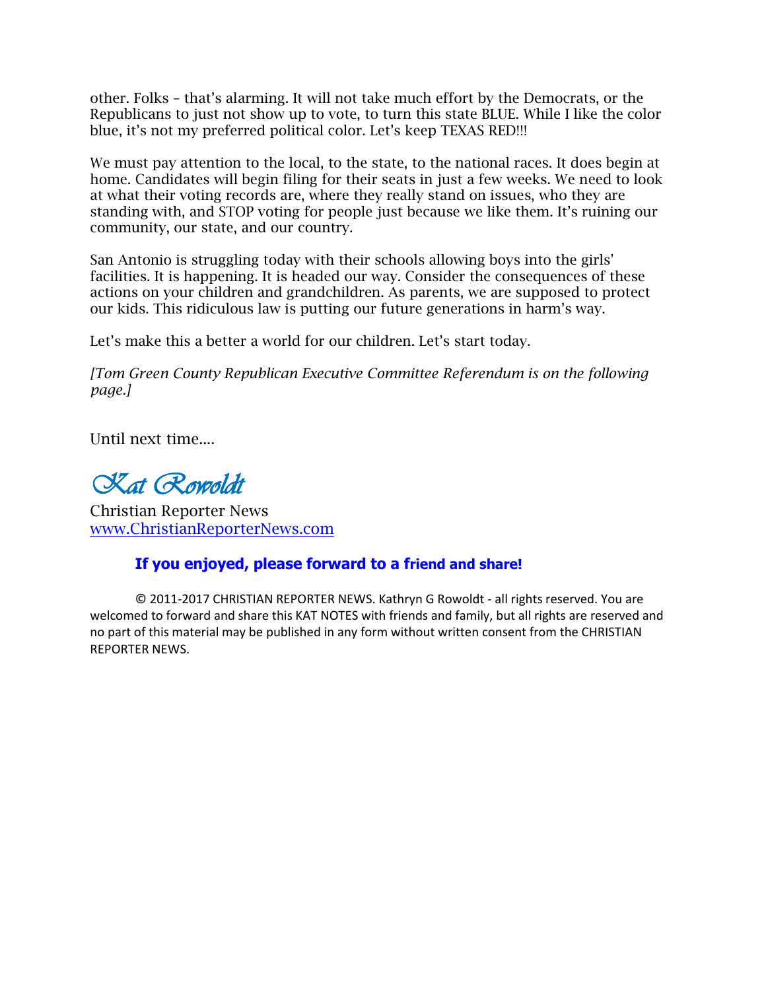other. Folks – that's alarming. It will not take much effort by the Democrats, or the Republicans to just not show up to vote, to turn this state BLUE. While I like the color blue, it's not my preferred political color. Let's keep TEXAS RED!!!

We must pay attention to the local, to the state, to the national races. It does begin at home. Candidates will begin filing for their seats in just a few weeks. We need to look at what their voting records are, where they really stand on issues, who they are standing with, and STOP voting for people just because we like them. It's ruining our community, our state, and our country.

San Antonio is struggling today with their schools allowing boys into the girls' facilities. It is happening. It is headed our way. Consider the consequences of these actions on your children and grandchildren. As parents, we are supposed to protect our kids. This ridiculous law is putting our future generations in harm's way.

Let's make this a better a world for our children. Let's start today.

*[Tom Green County Republican Executive Committee Referendum is on the following page.]*

Until next time....

*Kat Rowoldt*

Christian Reporter News www.ChristianReporterNews.com

## **If you enjoyed, please forward to a friend and share!**

**©** 2011-2017 CHRISTIAN REPORTER NEWS. Kathryn G Rowoldt - all rights reserved. You are welcomed to forward and share this KAT NOTES with friends and family, but all rights are reserved and no part of this material may be published in any form without written consent from the CHRISTIAN REPORTER NEWS.